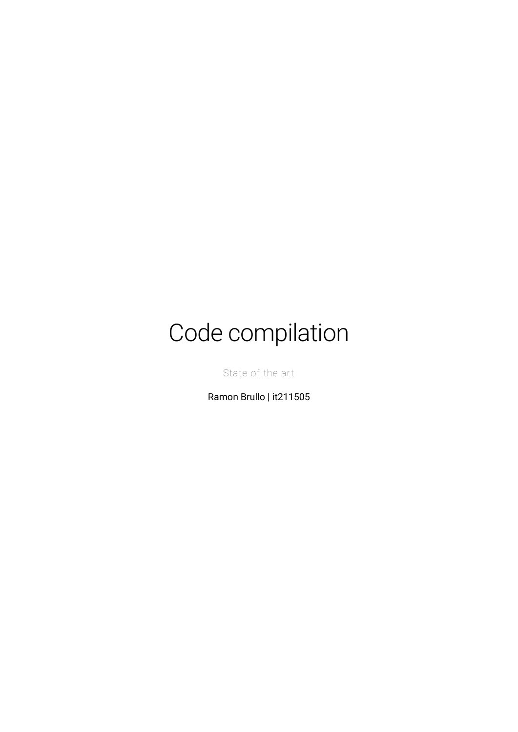# Code compilation

State of the art

Ramon Brullo | it211505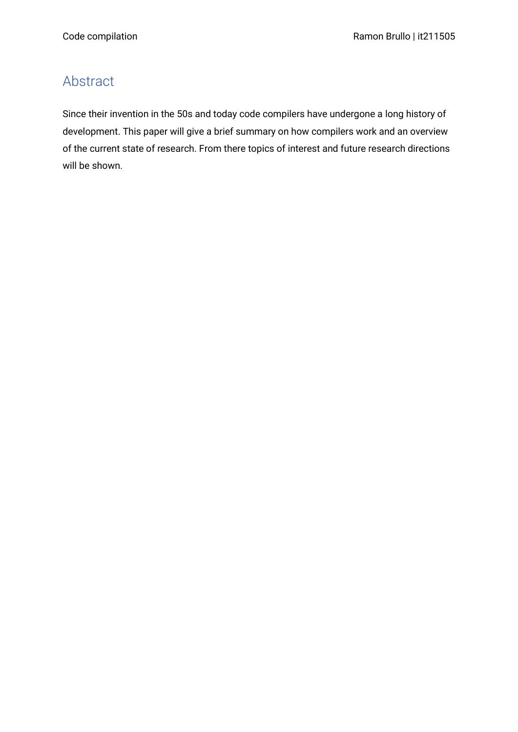# <span id="page-1-0"></span>Abstract

Since their invention in the 50s and today code compilers have undergone a long history of development. This paper will give a brief summary on how compilers work and an overview of the current state of research. From there topics of interest and future research directions will be shown.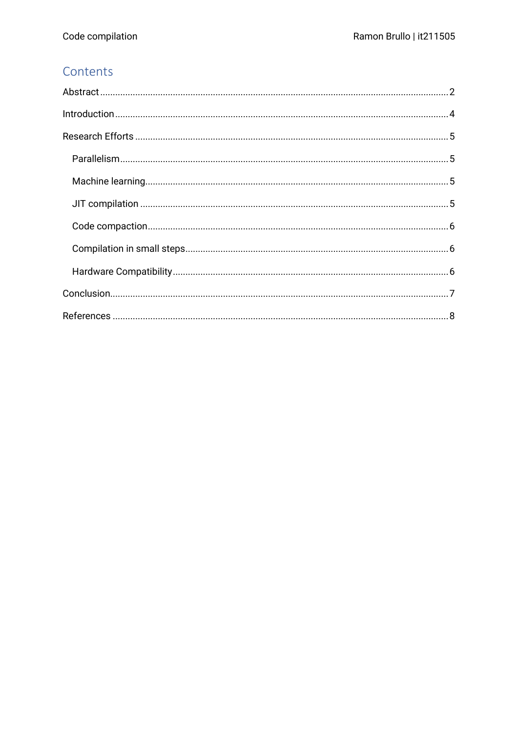#### Contents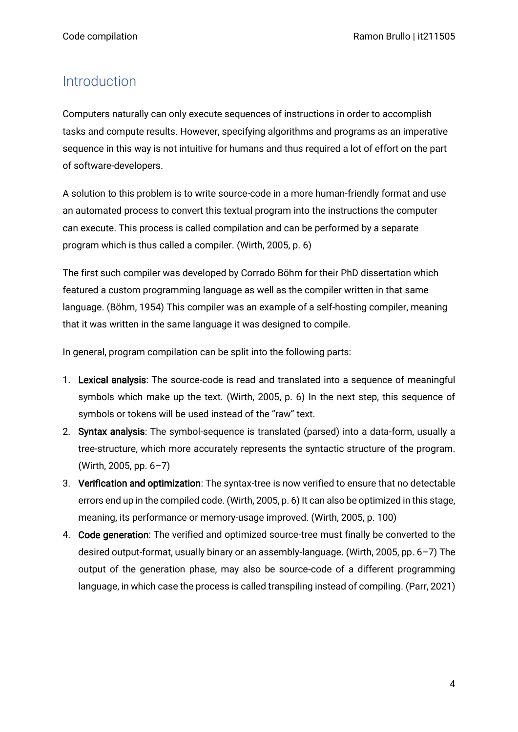## <span id="page-3-0"></span>Introduction

Computers naturally can only execute sequences of instructions in order to accomplish tasks and compute results. However, specifying algorithms and programs as an imperative sequence in this way is not intuitive for humans and thus required a lot of effort on the part of software-developers.

A solution to this problem is to write source-code in a more human-friendly format and use an automated process to convert this textual program into the instructions the computer can execute. This process is called compilation and can be performed by a separate program which is thus called a compiler. (Wirth, 2005, p. 6)

The first such compiler was developed by Corrado Böhm for their PhD dissertation which featured a custom programming language as well as the compiler written in that same language. (Böhm, 1954) This compiler was an example of a self-hosting compiler, meaning that it was written in the same language it was designed to compile.

In general, program compilation can be split into the following parts:

- 1. Lexical analysis: The source-code is read and translated into a sequence of meaningful symbols which make up the text. (Wirth, 2005, p. 6) In the next step, this sequence of symbols or tokens will be used instead of the "raw" text.
- 2. Syntax analysis: The symbol-sequence is translated (parsed) into a data-form, usually a tree-structure, which more accurately represents the syntactic structure of the program. (Wirth, 2005, pp. 6–7)
- 3. Verification and optimization: The syntax-tree is now verified to ensure that no detectable errors end up in the compiled code. (Wirth, 2005, p. 6) It can also be optimized in this stage, meaning, its performance or memory-usage improved. (Wirth, 2005, p. 100)
- 4. Code generation: The verified and optimized source-tree must finally be converted to the desired output-format, usually binary or an assembly-language. (Wirth, 2005, pp. 6–7) The output of the generation phase, may also be source-code of a different programming language, in which case the process is called transpiling instead of compiling. (Parr, 2021)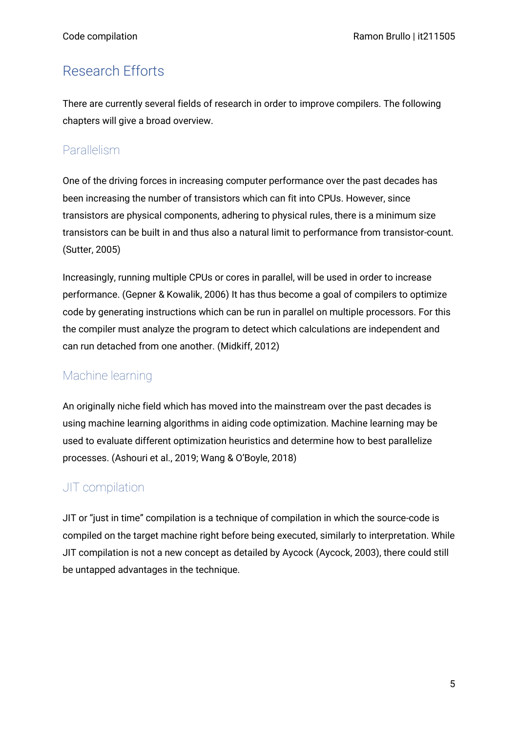## <span id="page-4-0"></span>Research Efforts

There are currently several fields of research in order to improve compilers. The following chapters will give a broad overview.

#### <span id="page-4-1"></span>Parallelism

One of the driving forces in increasing computer performance over the past decades has been increasing the number of transistors which can fit into CPUs. However, since transistors are physical components, adhering to physical rules, there is a minimum size transistors can be built in and thus also a natural limit to performance from transistor-count. (Sutter, 2005)

Increasingly, running multiple CPUs or cores in parallel, will be used in order to increase performance. (Gepner & Kowalik, 2006) It has thus become a goal of compilers to optimize code by generating instructions which can be run in parallel on multiple processors. For this the compiler must analyze the program to detect which calculations are independent and can run detached from one another. (Midkiff, 2012)

## <span id="page-4-2"></span>Machine learning

An originally niche field which has moved into the mainstream over the past decades is using machine learning algorithms in aiding code optimization. Machine learning may be used to evaluate different optimization heuristics and determine how to best parallelize processes. (Ashouri et al., 2019; Wang & O'Boyle, 2018)

## <span id="page-4-3"></span>JIT compilation

JIT or "just in time" compilation is a technique of compilation in which the source-code is compiled on the target machine right before being executed, similarly to interpretation. While JIT compilation is not a new concept as detailed by Aycock (Aycock, 2003), there could still be untapped advantages in the technique.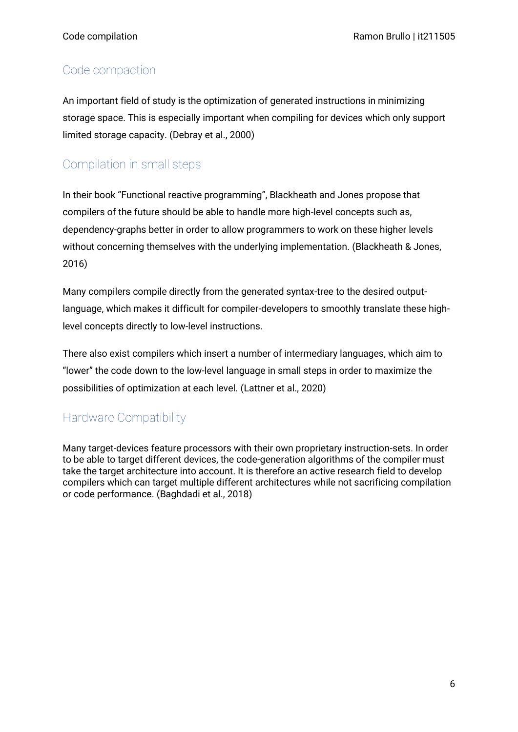#### <span id="page-5-0"></span>Code compaction

An important field of study is the optimization of generated instructions in minimizing storage space. This is especially important when compiling for devices which only support limited storage capacity. (Debray et al., 2000)

## <span id="page-5-1"></span>Compilation in small steps

In their book "Functional reactive programming", Blackheath and Jones propose that compilers of the future should be able to handle more high-level concepts such as, dependency-graphs better in order to allow programmers to work on these higher levels without concerning themselves with the underlying implementation. (Blackheath & Jones, 2016)

Many compilers compile directly from the generated syntax-tree to the desired outputlanguage, which makes it difficult for compiler-developers to smoothly translate these highlevel concepts directly to low-level instructions.

There also exist compilers which insert a number of intermediary languages, which aim to "lower" the code down to the low-level language in small steps in order to maximize the possibilities of optimization at each level. (Lattner et al., 2020)

#### <span id="page-5-2"></span>Hardware Compatibility

Many target-devices feature processors with their own proprietary instruction-sets. In order to be able to target different devices, the code-generation algorithms of the compiler must take the target architecture into account. It is therefore an active research field to develop compilers which can target multiple different architectures while not sacrificing compilation or code performance. (Baghdadi et al., 2018)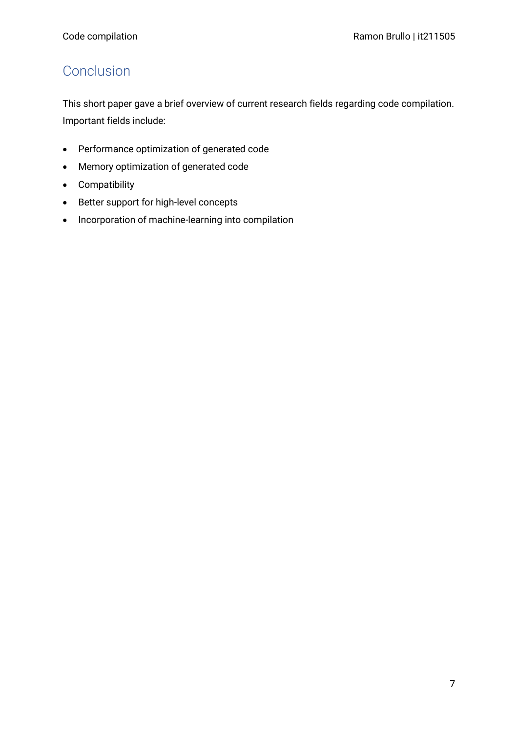# <span id="page-6-0"></span>**Conclusion**

This short paper gave a brief overview of current research fields regarding code compilation. Important fields include:

- Performance optimization of generated code
- Memory optimization of generated code
- Compatibility
- Better support for high-level concepts
- Incorporation of machine-learning into compilation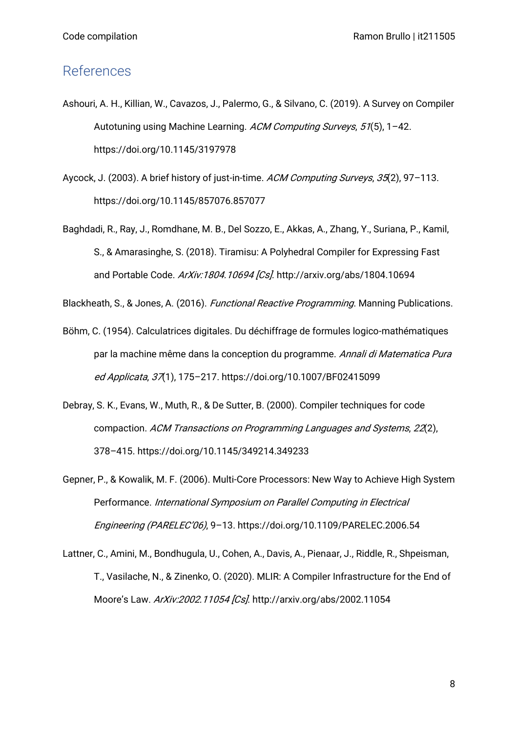#### <span id="page-7-0"></span>References

- Ashouri, A. H., Killian, W., Cavazos, J., Palermo, G., & Silvano, C. (2019). A Survey on Compiler Autotuning using Machine Learning. ACM Computing Surveys, 51(5), 1-42. https://doi.org/10.1145/3197978
- Aycock, J. (2003). A brief history of just-in-time. ACM Computing Surveys, 35(2), 97-113. https://doi.org/10.1145/857076.857077
- Baghdadi, R., Ray, J., Romdhane, M. B., Del Sozzo, E., Akkas, A., Zhang, Y., Suriana, P., Kamil, S., & Amarasinghe, S. (2018). Tiramisu: A Polyhedral Compiler for Expressing Fast and Portable Code. ArXiv:1804.10694 [Cs]. http://arxiv.org/abs/1804.10694

Blackheath, S., & Jones, A. (2016). Functional Reactive Programming. Manning Publications.

- Böhm, C. (1954). Calculatrices digitales. Du déchiffrage de formules logico-mathématiques par la machine même dans la conception du programme. Annali di Matematica Pura ed Applicata, 37(1), 175–217. https://doi.org/10.1007/BF02415099
- Debray, S. K., Evans, W., Muth, R., & De Sutter, B. (2000). Compiler techniques for code compaction. ACM Transactions on Programming Languages and Systems, 22(2), 378–415. https://doi.org/10.1145/349214.349233
- Gepner, P., & Kowalik, M. F. (2006). Multi-Core Processors: New Way to Achieve High System Performance. International Symposium on Parallel Computing in Electrical Engineering (PARELEC'06), 9–13. https://doi.org/10.1109/PARELEC.2006.54
- Lattner, C., Amini, M., Bondhugula, U., Cohen, A., Davis, A., Pienaar, J., Riddle, R., Shpeisman, T., Vasilache, N., & Zinenko, O. (2020). MLIR: A Compiler Infrastructure for the End of Moore's Law. ArXiv:2002.11054 [Cs]. http://arxiv.org/abs/2002.11054